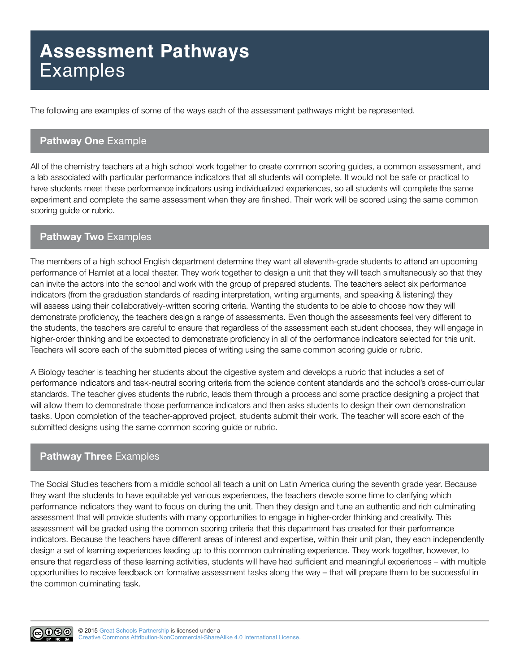# **Assessment Pathways Examples**

The following are examples of some of the ways each of the assessment pathways might be represented.

#### **Pathway One** Example

All of the chemistry teachers at a high school work together to create common scoring guides, a common assessment, and a lab associated with particular performance indicators that all students will complete. It would not be safe or practical to have students meet these performance indicators using individualized experiences, so all students will complete the same experiment and complete the same assessment when they are finished. Their work will be scored using the same common scoring guide or rubric.

# **Pathway Two** Examples

The members of a high school English department determine they want all eleventh-grade students to attend an upcoming performance of Hamlet at a local theater. They work together to design a unit that they will teach simultaneously so that they can invite the actors into the school and work with the group of prepared students. The teachers select six performance indicators (from the graduation standards of reading interpretation, writing arguments, and speaking & listening) they will assess using their collaboratively-written scoring criteria. Wanting the students to be able to choose how they will demonstrate proficiency, the teachers design a range of assessments. Even though the assessments feel very different to the students, the teachers are careful to ensure that regardless of the assessment each student chooses, they will engage in higher-order thinking and be expected to demonstrate proficiency in all of the performance indicators selected for this unit. Teachers will score each of the submitted pieces of writing using the same common scoring guide or rubric.

A Biology teacher is teaching her students about the digestive system and develops a rubric that includes a set of performance indicators and task-neutral scoring criteria from the science content standards and the school's cross-curricular standards. The teacher gives students the rubric, leads them through a process and some practice designing a project that will allow them to demonstrate those performance indicators and then asks students to design their own demonstration tasks. Upon completion of the teacher-approved project, students submit their work. The teacher will score each of the submitted designs using the same common scoring guide or rubric.

# **Pathway Three** Examples

The Social Studies teachers from a middle school all teach a unit on Latin America during the seventh grade year. Because they want the students to have equitable yet various experiences, the teachers devote some time to clarifying which performance indicators they want to focus on during the unit. Then they design and tune an authentic and rich culminating assessment that will provide students with many opportunities to engage in higher-order thinking and creativity. This assessment will be graded using the common scoring criteria that this department has created for their performance indicators. Because the teachers have different areas of interest and expertise, within their unit plan, they each independently design a set of learning experiences leading up to this common culminating experience. They work together, however, to ensure that regardless of these learning activities, students will have had sufficient and meaningful experiences – with multiple opportunities to receive feedback on formative assessment tasks along the way – that will prepare them to be successful in the common culminating task.